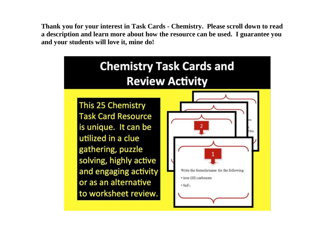**Thank you for your interest in Task Cards - Chemistry. Please scroll down to read a description and learn more about how the resource can be used. I guarantee you and your students will love it, mine do!** 

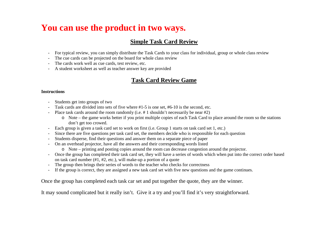# **You can use the product in two ways.**

### **Simple Task Card Review**

- For typical review, you can simply distribute the Task Cards to your class for individual, group or whole class review
- The cue cards can be projected on the board for whole class review
- The cards work well as cue cards, test review, etc.
- A student worksheet as well as teacher answer key are provided

### **Task Card Review Game**

#### **Instructions**

- Students get into groups of two
- Task cards are divided into sets of five where #1-5 is one set, #6-10 is the second, etc.
- Place task cards around the room randomly (i.e. # 1 shouldn't necessarily be near #2)
	- o Note the game works better if you print multiple copies of each Task Card to place around the room so the stations don't get too crowed.
- Each group is given a task card set to work on first (i.e. Group 1 starts on task card set 1, etc.)
- Since there are five questions per task card set, the members decide who is responsible for each question
- Students disperse, find their questions and answer them on a separate piece of paper
- On an overhead projector, have all the answers and their corresponding words listed
	- o Note printing and posting copies around the room can decrease congestion around the projector.
- Once the group has completed their task card set, they will have a series of words which when put into the correct order based on task card number (#1, #2, etc.), will make-up a portion of a quote
- The group then brings their series of words to the teacher who checks for correctness
- If the group is correct, they are assigned a new task card set with five new questions and the game continues.

Once the group has completed each task car set and put together the quote, they are the winner.

It may sound complicated but it really isn't. Give it a try and you'll find it's very straightforward.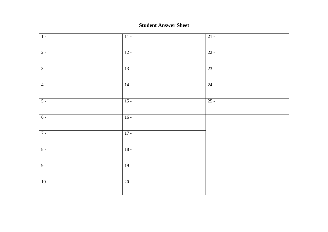#### **Student Answer Sheet**

| $\overline{1}$ | $\overline{11}$ | $21 -$ |
|----------------|-----------------|--------|
| $2 -$          | $12 -$          | $22 -$ |
| $3 -$          | $13 -$          | $23 -$ |
| $4 -$          | $14 -$          | $24 -$ |
| $5 -$          | $15 -$          | $25 -$ |
| $6 -$          | $16 -$          |        |
| $7 -$          | $17 -$          |        |
| $8 -$          | $18 -$          |        |
| $9 -$          | $19 -$          |        |
| $10 -$         | $20 -$          |        |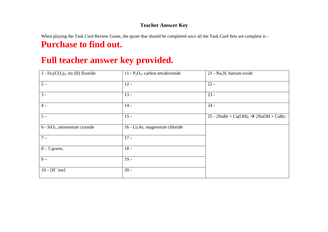#### **Teacher Answer Key**

When playing the Task Card Review Game, the quote that should be completed once all the Task Card Sets are complete is -**Purchase to find out.**

# **Full teacher answer key provided.**

| $1 - Fe_2(CO_3)_3$ , tin (II) fluoride | 11 - $P_2O_5$ , carbon tetrabromide         | 21 - Na <sub>3</sub> N, barium oxide                                     |
|----------------------------------------|---------------------------------------------|--------------------------------------------------------------------------|
| $2-$                                   | $12 -$                                      | $22 -$                                                                   |
| $\overline{3}$ -                       | $13 -$                                      | $23 -$                                                                   |
| $4-$                                   | $14 -$                                      | $24 -$                                                                   |
| $5-$                                   | $15 -$                                      | 25 - 2NaBr + Ca(OH) <sub>2</sub> $\rightarrow$ 2NaOH + CaBr <sub>2</sub> |
| $6 - SiO2$ , ammonium cyanide          | 16 - Li <sub>3</sub> As, magnesium chloride |                                                                          |
| $7 -$                                  | $17 -$                                      |                                                                          |
| $8 - 5$ grams.                         | $18 -$                                      |                                                                          |
| $9-$                                   | $19 -$                                      |                                                                          |
| $10 - [H^+ \text{ion}]$                | $20 -$                                      |                                                                          |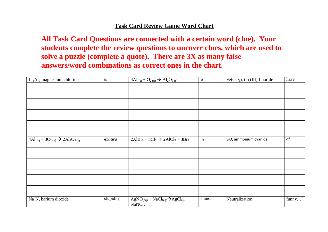### **Task Card Review Game Word Chart**

**All Task Card Questions are connected with a certain word (clue). Your students complete the review questions to uncover clues, which are used to solve a puzzle (complete a quote). There are 3X as many false answers/word combinations as correct ones in the chart.** 

| Li <sub>3</sub> As, magnesium chloride                                        | is        | 4Al (s) + O <sub>2(g)</sub> $\rightarrow$ Al <sub>2</sub> O <sub>3(s)</sub> | is     | $Fe(CO3)$ , tin (III) fluoride | have   |
|-------------------------------------------------------------------------------|-----------|-----------------------------------------------------------------------------|--------|--------------------------------|--------|
|                                                                               |           |                                                                             |        |                                |        |
|                                                                               |           |                                                                             |        |                                |        |
|                                                                               |           |                                                                             |        |                                |        |
|                                                                               |           |                                                                             |        |                                |        |
|                                                                               |           |                                                                             |        |                                |        |
|                                                                               |           |                                                                             |        |                                |        |
|                                                                               |           |                                                                             |        |                                |        |
|                                                                               |           |                                                                             |        |                                |        |
|                                                                               |           |                                                                             |        |                                |        |
|                                                                               |           |                                                                             |        |                                |        |
| 4Al (s) + 3O <sub>2(g)</sub> $\rightarrow$ 2Al <sub>2</sub> O <sub>3(s)</sub> | exciting  | $2AlBr_3 + 3Cl_2 \rightarrow 2AlCl_3 + 3Br_2$                               | in     | SiO, ammonium cyanide          | of     |
|                                                                               |           |                                                                             |        |                                |        |
|                                                                               |           |                                                                             |        |                                |        |
|                                                                               |           |                                                                             |        |                                |        |
|                                                                               |           |                                                                             |        |                                |        |
|                                                                               |           |                                                                             |        |                                |        |
|                                                                               |           |                                                                             |        |                                |        |
|                                                                               |           |                                                                             |        |                                |        |
|                                                                               |           |                                                                             |        |                                |        |
|                                                                               |           |                                                                             |        |                                |        |
|                                                                               |           |                                                                             |        |                                |        |
| Na <sub>3</sub> N, barium dioxide                                             | stupidity | $AgNO(aq) + NaCl(aq) \rightarrow AgCl(s) +$<br>$NaNO$ <sub>(aq)</sub>       | stands | Neutralization                 | funny' |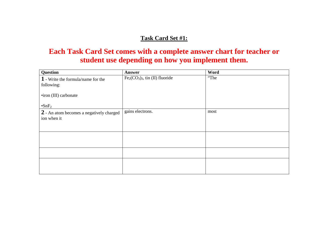### **Task Card Set #1:**

### **Each Task Card Set comes with a complete answer chart for teacher or student use depending on how you implement them.**

| Question                                                | Answer                          | Word |
|---------------------------------------------------------|---------------------------------|------|
| 1 - Write the formula/name for the                      | $Fe2(CO3)3$ , tin (II) fluoride | "The |
| following:                                              |                                 |      |
| •iron (III) carbonate                                   |                                 |      |
| $\cdot$ SnF <sub>2</sub>                                |                                 |      |
| 2 - An atom becomes a negatively charged<br>ion when it | gains electrons.                | most |
|                                                         |                                 |      |
|                                                         |                                 |      |
|                                                         |                                 |      |
|                                                         |                                 |      |
|                                                         |                                 |      |
|                                                         |                                 |      |